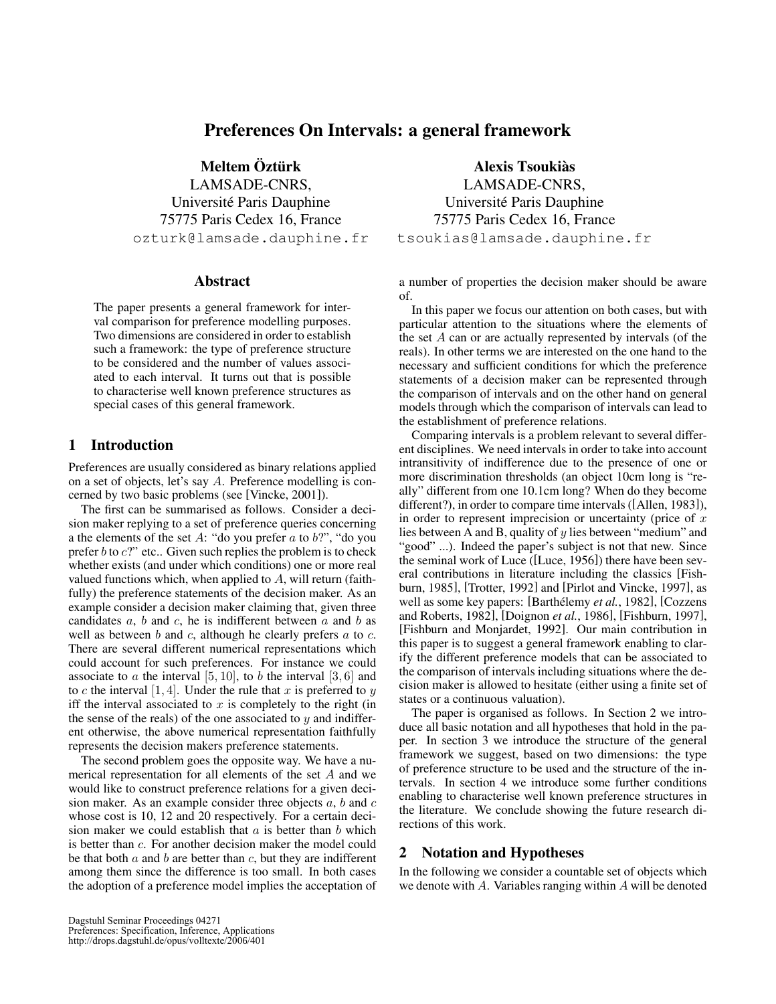# Preferences On Intervals: a general framework

Meltem Öztürk LAMSADE-CNRS, Universite Paris Dauphine ´ 75775 Paris Cedex 16, France ozturk@lamsade.dauphine.fr

### **Abstract**

The paper presents a general framework for interval comparison for preference modelling purposes. Two dimensions are considered in order to establish such a framework: the type of preference structure to be considered and the number of values associated to each interval. It turns out that is possible to characterise well known preference structures as special cases of this general framework.

### 1 Introduction

Preferences are usually considered as binary relations applied on a set of objects, let's say A. Preference modelling is concerned by two basic problems (see [Vincke, 2001]).

The first can be summarised as follows. Consider a decision maker replying to a set of preference queries concerning a the elements of the set  $A$ : "do you prefer  $a$  to  $b$ ?", "do you prefer  $b$  to  $c$ ?" etc.. Given such replies the problem is to check whether exists (and under which conditions) one or more real valued functions which, when applied to  $A$ , will return (faithfully) the preference statements of the decision maker. As an example consider a decision maker claiming that, given three candidates  $a$ ,  $b$  and  $c$ , he is indifferent between  $a$  and  $b$  as well as between  $b$  and  $c$ , although he clearly prefers  $a$  to  $c$ . There are several different numerical representations which could account for such preferences. For instance we could associate to  $a$  the interval [5, 10], to  $b$  the interval [3, 6] and to c the interval  $[1, 4]$ . Under the rule that x is preferred to y iff the interval associated to  $x$  is completely to the right (in the sense of the reals) of the one associated to  $y$  and indifferent otherwise, the above numerical representation faithfully represents the decision makers preference statements.

The second problem goes the opposite way. We have a numerical representation for all elements of the set A and we would like to construct preference relations for a given decision maker. As an example consider three objects  $a, b$  and  $c$ whose cost is 10, 12 and 20 respectively. For a certain decision maker we could establish that  $a$  is better than  $b$  which is better than c. For another decision maker the model could be that both  $a$  and  $b$  are better than  $c$ , but they are indifferent among them since the difference is too small. In both cases the adoption of a preference model implies the acceptation of

Alexis Tsoukias` LAMSADE-CNRS, Universite Paris Dauphine ´ 75775 Paris Cedex 16, France tsoukias@lamsade.dauphine.fr

a number of properties the decision maker should be aware of.

In this paper we focus our attention on both cases, but with particular attention to the situations where the elements of the set  $A$  can or are actually represented by intervals (of the reals). In other terms we are interested on the one hand to the necessary and sufficient conditions for which the preference statements of a decision maker can be represented through the comparison of intervals and on the other hand on general models through which the comparison of intervals can lead to the establishment of preference relations.

Comparing intervals is a problem relevant to several different disciplines. We need intervals in order to take into account intransitivity of indifference due to the presence of one or more discrimination thresholds (an object 10cm long is "really" different from one 10.1cm long? When do they become different?), in order to compare time intervals ([Allen, 1983]), in order to represent imprecision or uncertainty (price of  $x$ ) lies between A and B, quality of  $y$  lies between "medium" and "good" ...). Indeed the paper's subject is not that new. Since the seminal work of Luce ([Luce, 1956]) there have been several contributions in literature including the classics [Fishburn, 1985], [Trotter, 1992] and [Pirlot and Vincke, 1997], as well as some key papers: [Barthélemy *et al.*, 1982], [Cozzens] and Roberts, 1982], [Doignon *et al.*, 1986], [Fishburn, 1997], [Fishburn and Monjardet, 1992]. Our main contribution in this paper is to suggest a general framework enabling to clarify the different preference models that can be associated to the comparison of intervals including situations where the decision maker is allowed to hesitate (either using a finite set of states or a continuous valuation).

The paper is organised as follows. In Section 2 we introduce all basic notation and all hypotheses that hold in the paper. In section 3 we introduce the structure of the general framework we suggest, based on two dimensions: the type of preference structure to be used and the structure of the intervals. In section 4 we introduce some further conditions enabling to characterise well known preference structures in the literature. We conclude showing the future research directions of this work.

# 2 Notation and Hypotheses

In the following we consider a countable set of objects which we denote with A. Variables ranging within A will be denoted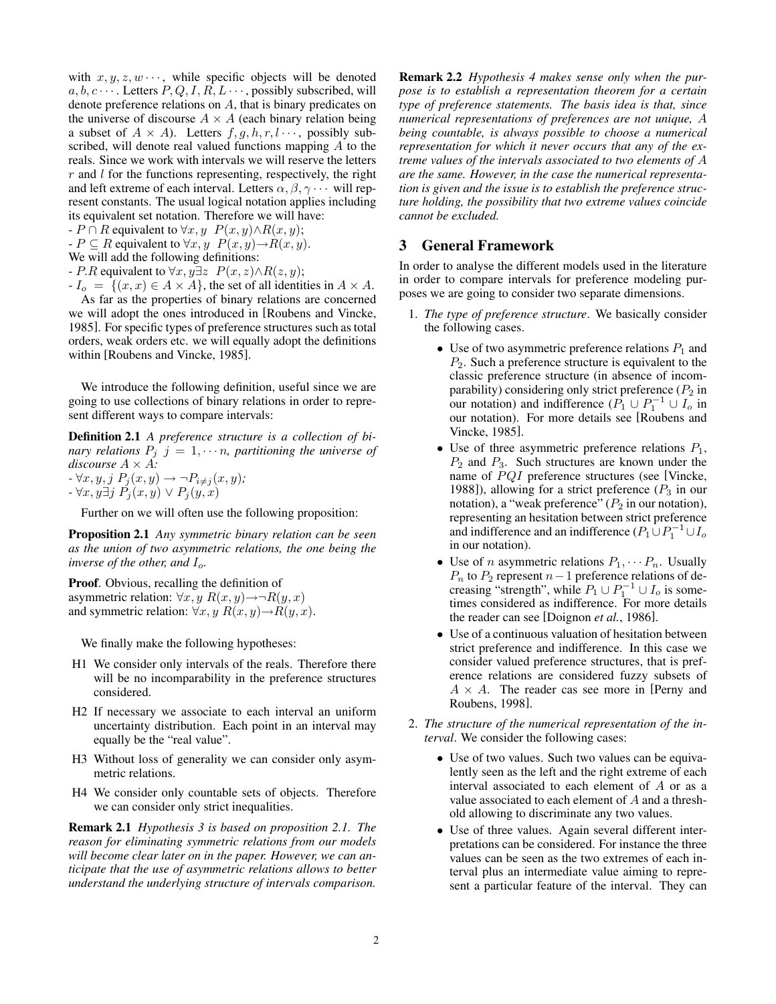with  $x, y, z, w \cdots$ , while specific objects will be denoted  $a, b, c \cdots$ . Letters  $P, Q, I, R, L \cdots$ , possibly subscribed, will denote preference relations on  $A$ , that is binary predicates on the universe of discourse  $A \times A$  (each binary relation being a subset of  $A \times A$ ). Letters  $f, g, h, r, l \cdots$ , possibly subscribed, will denote real valued functions mapping A to the reals. Since we work with intervals we will reserve the letters  $r$  and  $l$  for the functions representing, respectively, the right and left extreme of each interval. Letters  $\alpha, \beta, \gamma \cdots$  will represent constants. The usual logical notation applies including its equivalent set notation. Therefore we will have:

 $-P \cap R$  equivalent to  $\forall x, y \ P(x, y) \land R(x, y);$ 

 $-P \subseteq R$  equivalent to  $\forall x, y \ P(x, y) \rightarrow R(x, y)$ .

We will add the following definitions:

- P.R equivalent to  $\forall x, y \exists z \ P(x, z) \land R(z, y);$ 

 $-I_o = \{(x, x) \in A \times A\}$ , the set of all identities in  $A \times A$ . As far as the properties of binary relations are concerned we will adopt the ones introduced in [Roubens and Vincke, 1985]. For specific types of preference structures such as total orders, weak orders etc. we will equally adopt the definitions within [Roubens and Vincke, 1985].

We introduce the following definition, useful since we are going to use collections of binary relations in order to represent different ways to compare intervals:

Definition 2.1 *A preference structure is a collection of binary relations*  $P_j$   $j = 1, \dots n$ , partitioning the universe of *discourse* A × A*:*  $- \forall x, y, j \; P_j(x, y) \rightarrow \neg P_{i \neq j}(x, y);$ 

$$
-\forall x, y \exists j \ P_j(x, y) \lor P_j(y, x)
$$

Further on we will often use the following proposition:

Proposition 2.1 *Any symmetric binary relation can be seen as the union of two asymmetric relations, the one being the inverse of the other, and*  $I_o$ .

Proof. Obvious, recalling the definition of asymmetric relation:  $\forall x, y \ R(x, y) \rightarrow \neg R(y, x)$ and symmetric relation:  $\forall x, y \ R(x, y) \rightarrow R(y, x)$ .

We finally make the following hypotheses:

- H1 We consider only intervals of the reals. Therefore there will be no incomparability in the preference structures considered.
- H2 If necessary we associate to each interval an uniform uncertainty distribution. Each point in an interval may equally be the "real value".
- H3 Without loss of generality we can consider only asymmetric relations.
- H4 We consider only countable sets of objects. Therefore we can consider only strict inequalities.

Remark 2.1 *Hypothesis 3 is based on proposition 2.1. The reason for eliminating symmetric relations from our models will become clear later on in the paper. However, we can anticipate that the use of asymmetric relations allows to better understand the underlying structure of intervals comparison.* Remark 2.2 *Hypothesis 4 makes sense only when the purpose is to establish a representation theorem for a certain type of preference statements. The basis idea is that, since numerical representations of preferences are not unique,* A *being countable, is always possible to choose a numerical representation for which it never occurs that any of the extreme values of the intervals associated to two elements of* A *are the same. However, in the case the numerical representation is given and the issue is to establish the preference structure holding, the possibility that two extreme values coincide cannot be excluded.*

### 3 General Framework

In order to analyse the different models used in the literature in order to compare intervals for preference modeling purposes we are going to consider two separate dimensions.

- 1. *The type of preference structure*. We basically consider the following cases.
	- Use of two asymmetric preference relations  $P_1$  and  $P_2$ . Such a preference structure is equivalent to the classic preference structure (in absence of incomparability) considering only strict preference  $(P_2$  in our notation) and indifference  $(P_1 \cup P_1^{-1} \cup I_o$  in our notation). For more details see [Roubens and Vincke, 1985].
	- Use of three asymmetric preference relations  $P_1$ ,  $P_2$  and  $P_3$ . Such structures are known under the name of  $PQI$  preference structures (see [Vincke, 1988]), allowing for a strict preference  $(P_3$  in our notation), a "weak preference"  $(P_2$  in our notation), representing an hesitation between strict preference and indifference and an indifference  $(P_1 \cup P_1^{-1} \cup I_o)$ in our notation).
	- Use of *n* asymmetric relations  $P_1, \cdots, P_n$ . Usually  $P_n$  to  $P_2$  represent  $n-1$  preference relations of decreasing "strength", while  $P_1 \cup P_1^{-1} \cup I_o$  is sometimes considered as indifference. For more details the reader can see [Doignon *et al.*, 1986].
	- Use of a continuous valuation of hesitation between strict preference and indifference. In this case we consider valued preference structures, that is preference relations are considered fuzzy subsets of  $A \times A$ . The reader cas see more in [Perny and Roubens, 1998].
- 2. *The structure of the numerical representation of the interval*. We consider the following cases:
	- Use of two values. Such two values can be equivalently seen as the left and the right extreme of each interval associated to each element of A or as a value associated to each element of A and a threshold allowing to discriminate any two values.
	- Use of three values. Again several different interpretations can be considered. For instance the three values can be seen as the two extremes of each interval plus an intermediate value aiming to represent a particular feature of the interval. They can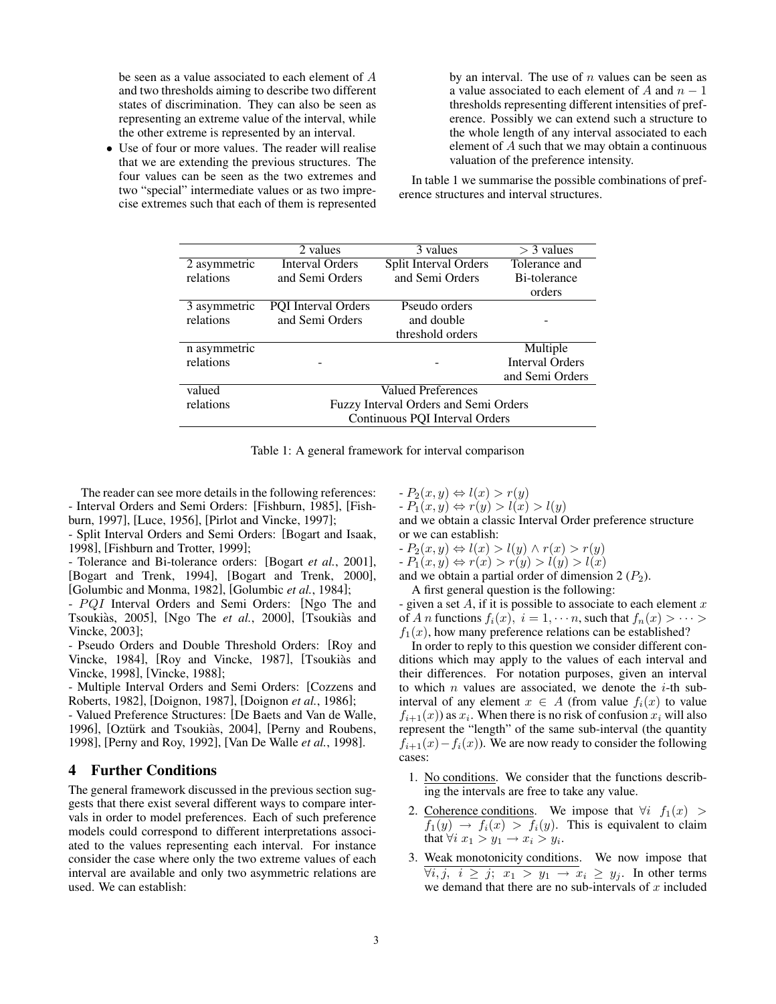be seen as a value associated to each element of A and two thresholds aiming to describe two different states of discrimination. They can also be seen as representing an extreme value of the interval, while the other extreme is represented by an interval.

• Use of four or more values. The reader will realise that we are extending the previous structures. The four values can be seen as the two extremes and two "special" intermediate values or as two imprecise extremes such that each of them is represented by an interval. The use of  $n$  values can be seen as a value associated to each element of A and  $n - 1$ thresholds representing different intensities of preference. Possibly we can extend such a structure to the whole length of any interval associated to each element of A such that we may obtain a continuous valuation of the preference intensity.

In table 1 we summarise the possible combinations of preference structures and interval structures.

|              | 2 values                              | 3 values              | $>$ 3 values           |  |
|--------------|---------------------------------------|-----------------------|------------------------|--|
| 2 asymmetric | <b>Interval Orders</b>                | Split Interval Orders | Tolerance and          |  |
| relations    | and Semi Orders                       | and Semi Orders       | Bi-tolerance           |  |
|              |                                       |                       | orders                 |  |
| 3 asymmetric | <b>PQI</b> Interval Orders            | Pseudo orders         |                        |  |
| relations    | and Semi Orders                       | and double            |                        |  |
|              |                                       | threshold orders      |                        |  |
| n asymmetric |                                       |                       | Multiple               |  |
| relations    |                                       |                       | <b>Interval Orders</b> |  |
|              |                                       |                       | and Semi Orders        |  |
| valued       | Valued Preferences                    |                       |                        |  |
| relations    | Fuzzy Interval Orders and Semi Orders |                       |                        |  |
|              | Continuous POI Interval Orders        |                       |                        |  |

Table 1: A general framework for interval comparison

The reader can see more details in the following references: - Interval Orders and Semi Orders: [Fishburn, 1985], [Fishburn, 1997], [Luce, 1956], [Pirlot and Vincke, 1997];

- Split Interval Orders and Semi Orders: [Bogart and Isaak, 1998], [Fishburn and Trotter, 1999];

- Tolerance and Bi-tolerance orders: [Bogart *et al.*, 2001], [Bogart and Trenk, 1994], [Bogart and Trenk, 2000], [Golumbic and Monma, 1982], [Golumbic *et al.*, 1984];

- PQI Interval Orders and Semi Orders: [Ngo The and Tsoukiàs, 2005], [Ngo The *et al.*, 2000], [Tsoukiàs and Vincke, 2003];

- Pseudo Orders and Double Threshold Orders: [Roy and Vincke, 1984], [Roy and Vincke, 1987], [Tsoukiàs and Vincke, 1998], [Vincke, 1988];

- Multiple Interval Orders and Semi Orders: [Cozzens and Roberts, 1982], [Doignon, 1987], [Doignon *et al.*, 1986];

- Valued Preference Structures: [De Baets and Van de Walle, 1996], [Oztürk and Tsoukiàs, 2004], [Perny and Roubens, 1998], [Perny and Roy, 1992], [Van De Walle *et al.*, 1998].

# 4 Further Conditions

The general framework discussed in the previous section suggests that there exist several different ways to compare intervals in order to model preferences. Each of such preference models could correspond to different interpretations associated to the values representing each interval. For instance consider the case where only the two extreme values of each interval are available and only two asymmetric relations are used. We can establish:

 $-P_2(x, y) \Leftrightarrow l(x) > r(y)$ 

 $- P_1(x, y) \Leftrightarrow r(y) > l(x) > l(y)$ 

and we obtain a classic Interval Order preference structure or we can establish:

 $- P_2(x, y) \Leftrightarrow l(x) > l(y) \wedge r(x) > r(y)$ 

 $- P_1(x, y) \Leftrightarrow r(x) > r(y) > l(y) > l(x)$ 

and we obtain a partial order of dimension  $2 (P_2)$ . A first general question is the following:

- given a set  $A$ , if it is possible to associate to each element  $x$ of A n functions  $f_i(x)$ ,  $i = 1, \dots n$ , such that  $f_n(x) > \dots >$  $f_1(x)$ , how many preference relations can be established?

In order to reply to this question we consider different conditions which may apply to the values of each interval and their differences. For notation purposes, given an interval to which  $n$  values are associated, we denote the  $i$ -th subinterval of any element  $x \in A$  (from value  $f_i(x)$  to value  $f_{i+1}(x)$  as  $x_i$ . When there is no risk of confusion  $x_i$  will also represent the "length" of the same sub-interval (the quantity  $f_{i+1}(x) - f_i(x)$ ). We are now ready to consider the following cases:

- 1. No conditions. We consider that the functions describing the intervals are free to take any value.
- 2. Coherence conditions. We impose that  $\forall i$   $f_1(x)$  >  $f_1(y) \rightarrow f_i(x) > f_i(y)$ . This is equivalent to claim that  $\forall i \ x_1 > y_1 \rightarrow x_i > y_i$ .
- 3. Weak monotonicity conditions. We now impose that  $\forall i, j, i \geq j$ ;  $x_1 > y_1 \rightarrow x_i \geq y_j$ . In other terms we demand that there are no sub-intervals of  $x$  included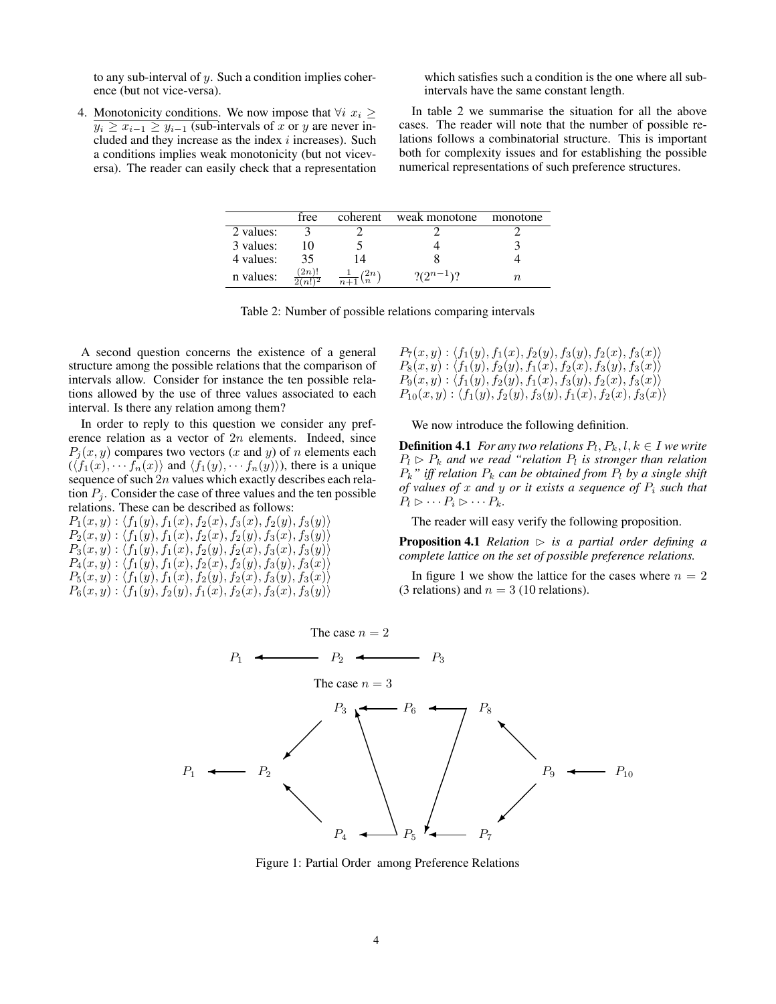to any sub-interval of  $y$ . Such a condition implies coherence (but not vice-versa).

which satisfies such a condition is the one where all subintervals have the same constant length.

4. Monotonicity conditions. We now impose that  $\forall i \ x_i \geq$  $y_i \geq x_{i-1} \geq y_{i-1}$  (sub-intervals of x or y are never included and they increase as the index  $i$  increases). Such a conditions implies weak monotonicity (but not viceversa). The reader can easily check that a representation

In table 2 we summarise the situation for all the above cases. The reader will note that the number of possible relations follows a combinatorial structure. This is important both for complexity issues and for establishing the possible numerical representations of such preference structures.

|           | free               | coherent                               | weak monotone | monotone |
|-----------|--------------------|----------------------------------------|---------------|----------|
| 2 values: |                    |                                        |               |          |
| 3 values: |                    |                                        |               |          |
| 4 values: | 35                 | 14                                     |               |          |
| n values: | (2n)!<br>$2(n!)^2$ | (2n)<br>$\overline{n+1}$ $\setminus n$ | $(2^{n-1})?$  | TI.      |

|  | Table 2: Number of possible relations comparing intervals |
|--|-----------------------------------------------------------|
|  |                                                           |

A second question concerns the existence of a general structure among the possible relations that the comparison of intervals allow. Consider for instance the ten possible relations allowed by the use of three values associated to each interval. Is there any relation among them?

In order to reply to this question we consider any preference relation as a vector of 2n elements. Indeed, since  $P_i(x, y)$  compares two vectors (x and y) of n elements each  $(\langle f_1(x), \cdots, f_n(x) \rangle$  and  $\langle f_1(y), \cdots, f_n(y) \rangle$ , there is a unique sequence of such  $2n$  values which exactly describes each relation  $P_i$ . Consider the case of three values and the ten possible relations. These can be described as follows:

 $P_1(x, y) : \langle f_1(y), f_1(x), f_2(x), f_3(x), f_2(y), f_3(y)\rangle$  $P_2(x, y) : \langle f_1(y), f_1(x), f_2(x), f_2(y), f_3(x), f_3(y)\rangle$  $P_3(x, y) : \langle f_1(y), f_1(x), f_2(y), f_2(x), f_3(x), f_3(y)\rangle$  $P_4(x,y): \langle f_1(y), f_1(x), f_2(x), f_2(y), f_3(y), f_3(x)\rangle$  $P_5(x,y): \langle f_1(y), f_1(x), f_2(y), f_2(x), f_3(y), f_3(x)\rangle$  $P_6(x, y): \langle f_1(y), f_2(y), f_1(x), f_2(x), f_3(x), f_3(y)\rangle$   $P_7(x,y): \langle f_1(y), f_1(x), f_2(y), f_3(y), f_2(x), f_3(x)\rangle$  $P_8(x,y): \langle f_1(y), f_2(y), f_1(x), f_2(x), f_3(y), f_3(x)\rangle$  $P_9(x,y): \langle f_1(y), f_2(y), f_1(x), f_3(y), f_2(x), f_3(x)\rangle$  $P_{10}(x, y): \langle f_1(y), f_2(y), f_3(y), f_1(x), f_2(x), f_3(x)\rangle$ 

We now introduce the following definition.

**Definition 4.1** *For any two relations*  $P_l$ ,  $P_k$ ,  $l$ ,  $k \in I$  *we write*  $P_l \triangleright P_k$  and we read "relation  $P_l$  is stronger than relation  $P_k$ " iff relation  $P_k$  can be obtained from  $P_l$  by a single shift *of values of* x *and* y *or it exists a sequence of* P<sup>i</sup> *such that*  $P_l \triangleright \cdots P_i \triangleright \cdots P_k.$ 

The reader will easy verify the following proposition.

**Proposition 4.1** *Relation*  $\triangleright$  *is a partial order defining a complete lattice on the set of possible preference relations.*

In figure 1 we show the lattice for the cases where  $n = 2$ (3 relations) and  $n = 3$  (10 relations).



Figure 1: Partial Order among Preference Relations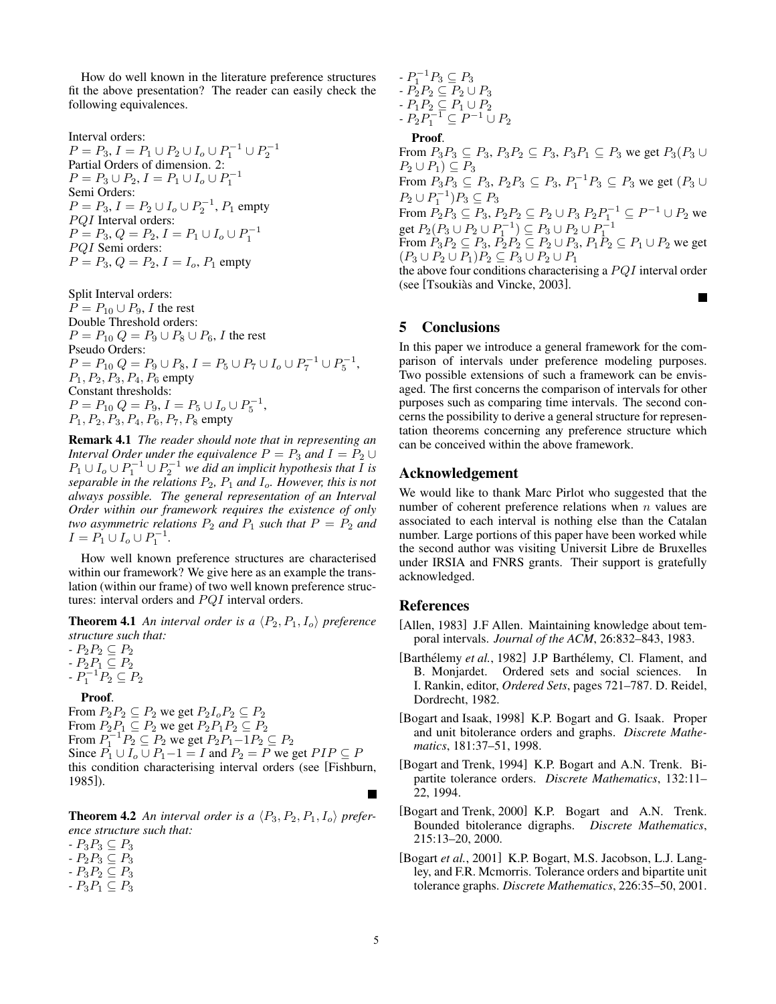How do well known in the literature preference structures fit the above presentation? The reader can easily check the following equivalences.

Interval orders:  $P = P_3, I = P_1 \cup P_2 \cup I_o \cup P_1^{-1} \cup P_2^{-1}$ Partial Orders of dimension. 2:  $P = P_3 \cup P_2, I = P_1 \cup I_o \cup P_1^{-1}$ Semi Orders:  $P = P_3, I = P_2 \cup I_o \cup P_2^{-1}, P_1$  empty  $PQI$  Interval orders:  $P = P_3, Q = P_2, I = P_1 \cup I_o \cup P_1^{-1}$ PQI Semi orders:  $P = P_3, Q = P_2, I = I_o, P_1$  empty

Split Interval orders:  $P = P_{10} \cup P_9$ , *I* the rest Double Threshold orders:  $P = P_{10} Q = P_9 \cup P_8 \cup P_6$ , I the rest Pseudo Orders:  $P = P_{10} Q = P_9 \cup P_8, I = P_5 \cup P_7 \cup I_o \cup P_7^{-1} \cup P_5^{-1},$  $P_1, P_2, P_3, P_4, P_6$  empty Constant thresholds:  $P = P_{10} Q = P_9, I = P_5 \cup I_o \cup P_5^{-1},$  $P_1, P_2, P_3, P_4, P_6, P_7, P_8$  empty

Remark 4.1 *The reader should note that in representing an Interval Order under the equivalence*  $P = P_3$  *and*  $I = P_2 \cup$  $P_1 \cup I_o \cup P_1^{-1} \cup P_2^{-1}$  *we did an implicit hypothesis that*  $\overline{I}$  *is separable in the relations*  $P_2$ ,  $P_1$  *and*  $I_0$ *. However, this is not always possible. The general representation of an Interval Order within our framework requires the existence of only two asymmetric relations*  $P_2$  *and*  $P_1$  *such that*  $P = P_2$  *and*  $I = P_1 \cup I_o \cup P_1^{-1}.$ 

How well known preference structures are characterised within our framework? We give here as an example the translation (within our frame) of two well known preference structures: interval orders and  $PQI$  interval orders.

**Theorem 4.1** An interval order is a  $\langle P_2, P_1, I_o \rangle$  preference *structure such that:*

 $P_2P_2 \subseteq P_2$ *-*  $P_2P_1 \subseteq P_2$  $-P_1^{-1}P_2 \subseteq P_2$ 

#### Proof.

From  $P_2P_2 \subseteq P_2$  we get  $P_2I_0P_2 \subseteq P_2$ From  $P_2P_1 \subseteq P_2$  we get  $P_2P_1P_2 \subseteq P_2$ From  $P_1^{-1}P_2 \subseteq P_2$  we get  $P_2P_1 - 1P_2 \subseteq P_2$ Since  $\overline{P_1} \cup I_o \cup P_1 - 1 = I$  and  $P_2 = P$  we get  $PIP \subseteq P$ this condition characterising interval orders (see [Fishburn, 1985]).

**Theorem 4.2** An interval order is a  $\langle P_3, P_2, P_1, I_o \rangle$  prefer*ence structure such that:*

*-*  $P_3P_3 \subseteq P_3$ 

 $P_2P_3 \subseteq P_3$ 

- $P_3P_2 \subseteq P_3$
- $P_3P_1 \subseteq P_3$

 $-P_1^{-1}P_3 \subseteq P_3$  $\overline{P_2P_2} \subseteq \overline{P_2 \cup P_3}$  $-P_1P_2 \subseteq P_1 \cup P_2$  $\overline{P_2P_1^{-1}} \subseteq P^{-1} \cup P_2$ 

#### **Proof.**

From  $P_3P_3 \subseteq P_3$ ,  $P_3P_2 \subseteq P_3$ ,  $P_3P_1 \subseteq P_3$  we get  $P_3(P_3 \cup P_2)$  $P_2 \cup P_1$ )  $\subseteq P_3$ From  $P_3P_3 \subseteq P_3$ ,  $P_2P_3 \subseteq P_3$ ,  $P_1^{-1}P_3 \subseteq P_3$  we get  $(P_3 \cup$  $P_2 \cup P_1^{-1}$ ) $P_3 \subseteq P_3$ From  $P_2P_3 \subseteq P_3$ ,  $P_2P_2 \subseteq P_2 \cup P_3$   $P_2P_1^{-1} \subseteq P^{-1} \cup P_2$  we get  $P_2(P_3 \cup P_2 \cup P_1^{-1}) \subseteq P_3 \cup P_2 \cup P_1^{-1}$ From  $P_3P_2 \subseteq P_3$ ,  $P_2P_2 \subseteq P_2 \cup P_3$ ,  $P_1P_2 \subseteq P_1 \cup P_2$  we get  $(P_3\cup P_2\cup P_1)P_2\subseteq P_3\cup P_2\cup P_1$ 

the above four conditions characterising a  $PQI$  interval order (see [Tsoukiàs and Vincke, 2003].

# 5 Conclusions

In this paper we introduce a general framework for the comparison of intervals under preference modeling purposes. Two possible extensions of such a framework can be envisaged. The first concerns the comparison of intervals for other purposes such as comparing time intervals. The second concerns the possibility to derive a general structure for representation theorems concerning any preference structure which can be conceived within the above framework.

### Acknowledgement

We would like to thank Marc Pirlot who suggested that the number of coherent preference relations when  $n$  values are associated to each interval is nothing else than the Catalan number. Large portions of this paper have been worked while the second author was visiting Universit Libre de Bruxelles under IRSIA and FNRS grants. Their support is gratefully acknowledged.

# References

- [Allen, 1983] J.F Allen. Maintaining knowledge about temporal intervals. *Journal of the ACM*, 26:832–843, 1983.
- [Barthélemy et al., 1982] J.P Barthélemy, Cl. Flament, and B. Monjardet. Ordered sets and social sciences. In I. Rankin, editor, *Ordered Sets*, pages 721–787. D. Reidel, Dordrecht, 1982.

[Bogart and Isaak, 1998] K.P. Bogart and G. Isaak. Proper and unit bitolerance orders and graphs. *Discrete Mathematics*, 181:37–51, 1998.

[Bogart and Trenk, 1994] K.P. Bogart and A.N. Trenk. Bipartite tolerance orders. *Discrete Mathematics*, 132:11– 22, 1994.

[Bogart and Trenk, 2000] K.P. Bogart and A.N. Trenk. Bounded bitolerance digraphs. *Discrete Mathematics*, 215:13–20, 2000.

[Bogart *et al.*, 2001] K.P. Bogart, M.S. Jacobson, L.J. Langley, and F.R. Mcmorris. Tolerance orders and bipartite unit tolerance graphs. *Discrete Mathematics*, 226:35–50, 2001.